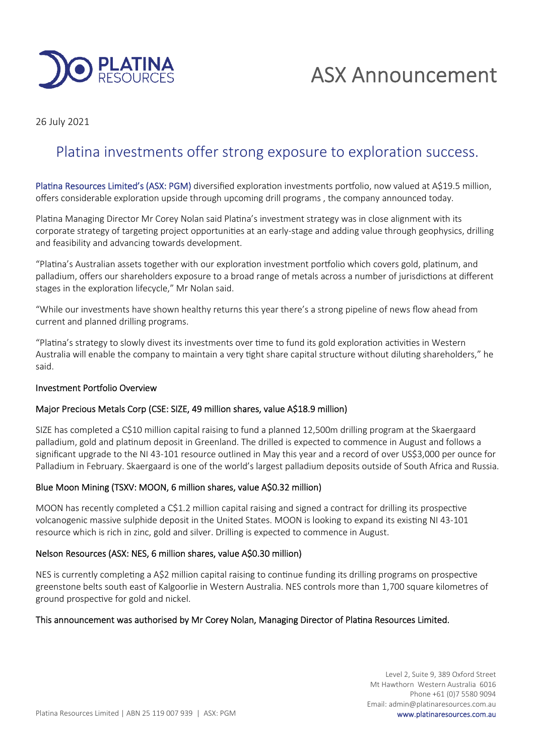

# ASX Announcement

26 July 2021

# Platina investments offer strong exposure to exploration success.

Platina Resources Limited's (ASX: PGM) diversified exploration investments portfolio, now valued at A\$19.5 million, offers considerable exploration upside through upcoming drill programs, the company announced today.

Platina Managing Director Mr Corey Nolan said Platina's investment strategy was in close alignment with its corporate strategy of targeting project opportunities at an early-stage and adding value through geophysics, drilling and feasibility and advancing towards development.

"Platina's Australian assets together with our exploration investment portfolio which covers gold, platinum, and palladium, offers our shareholders exposure to a broad range of metals across a number of jurisdictions at different stages in the exploration lifecycle," Mr Nolan said.

"While our investments have shown healthy returns this year there's a strong pipeline of news flow ahead from current and planned drilling programs.

"Platina's strategy to slowly divest its investments over time to fund its gold exploration activities in Western Australia will enable the company to maintain a very tight share capital structure without diluting shareholders," he said.

### Investment Portfolio Overview

## Major Precious Metals Corp (CSE: SIZE, 49 million shares, value A\$18.9 million)

SIZE has completed a C\$10 million capital raising to fund a planned 12,500m drilling program at the Skaergaard palladium, gold and platinum deposit in Greenland. The drilled is expected to commence in August and follows a significant upgrade to the NI 43-101 resource outlined in May this year and a record of over US\$3,000 per ounce for Palladium in February. Skaergaard is one of the world's largest palladium deposits outside of South Africa and Russia.

### Blue Moon Mining (TSXV: MOON, 6 million shares, value A\$0.32 million)

MOON has recently completed a C\$1.2 million capital raising and signed a contract for drilling its prospective volcanogenic massive sulphide deposit in the United States. MOON is looking to expand its existing NI 43-101 resource which is rich in zinc, gold and silver. Drilling is expected to commence in August.

### Nelson Resources (ASX: NES, 6 million shares, value A\$0.30 million)

NES is currently completing a A\$2 million capital raising to continue funding its drilling programs on prospective greenstone belts south east of Kalgoorlie in Western Australia. NES controls more than 1,700 square kilometres of ground prospective for gold and nickel.

### This announcement was authorised by Mr Corey Nolan, Managing Director of Platina Resources Limited.